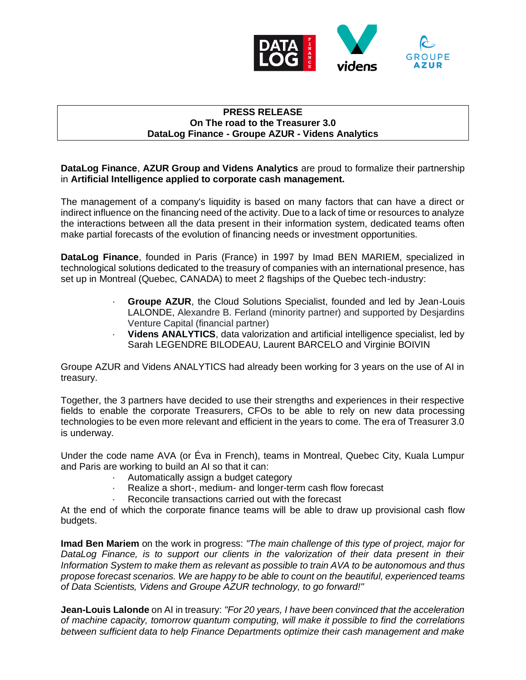

## **PRESS RELEASE On The road to the Treasurer 3.0 DataLog Finance - Groupe AZUR - Videns Analytics**

**DataLog Finance**, **AZUR Group and Videns Analytics** are proud to formalize their partnership in **Artificial Intelligence applied to corporate cash management.**

The management of a company's liquidity is based on many factors that can have a direct or indirect influence on the financing need of the activity. Due to a lack of time or resources to analyze the interactions between all the data present in their information system, dedicated teams often make partial forecasts of the evolution of financing needs or investment opportunities.

**DataLog Finance**, founded in Paris (France) in 1997 by Imad BEN MARIEM, specialized in technological solutions dedicated to the treasury of companies with an international presence, has set up in Montreal (Quebec, CANADA) to meet 2 flagships of the Quebec tech-industry:

- · **Groupe AZUR**, the Cloud Solutions Specialist, founded and led by Jean-Louis LALONDE, Alexandre B. Ferland (minority partner) and supported by Desjardins Venture Capital (financial partner)
- · **Videns ANALYTICS**, data valorization and artificial intelligence specialist, led by Sarah LEGENDRE BILODEAU, Laurent BARCELO and Virginie BOIVIN

Groupe AZUR and Videns ANALYTICS had already been working for 3 years on the use of AI in treasury.

Together, the 3 partners have decided to use their strengths and experiences in their respective fields to enable the corporate Treasurers, CFOs to be able to rely on new data processing technologies to be even more relevant and efficient in the years to come. The era of Treasurer 3.0 is underway.

Under the code name AVA (or Éva in French), teams in Montreal, Quebec City, Kuala Lumpur and Paris are working to build an AI so that it can:

- · Automatically assign a budget category
- Realize a short-, medium- and longer-term cash flow forecast
- Reconcile transactions carried out with the forecast

At the end of which the corporate finance teams will be able to draw up provisional cash flow budgets.

**Imad Ben Mariem** on the work in progress: *"The main challenge of this type of project, major for*  DataLog Finance, is to support our clients in the valorization of their data present in their *Information System to make them as relevant as possible to train AVA to be autonomous and thus propose forecast scenarios. We are happy to be able to count on the beautiful, experienced teams of Data Scientists, Videns and Groupe AZUR technology, to go forward!"*

**Jean-Louis Lalonde** on AI in treasury: *"For 20 years, I have been convinced that the acceleration of machine capacity, tomorrow quantum computing, will make it possible to find the correlations between sufficient data to help Finance Departments optimize their cash management and make*